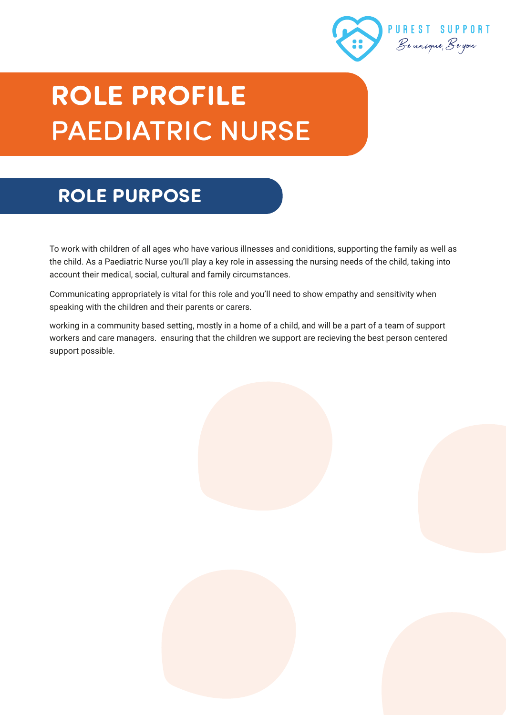

# **ROLE PROFILE**  PAEDIATRIC NURSE

# **ROLE PURPOSE**

To work with children of all ages who have various illnesses and coniditions, supporting the family as well as the child. As a Paediatric Nurse you'll play a key role in assessing the nursing needs of the child, taking into account their medical, social, cultural and family circumstances.

Communicating appropriately is vital for this role and you'll need to show empathy and sensitivity when speaking with the children and their parents or carers.

working in a community based setting, mostly in a home of a child, and will be a part of a team of support workers and care managers. ensuring that the children we support are recieving the best person centered support possible.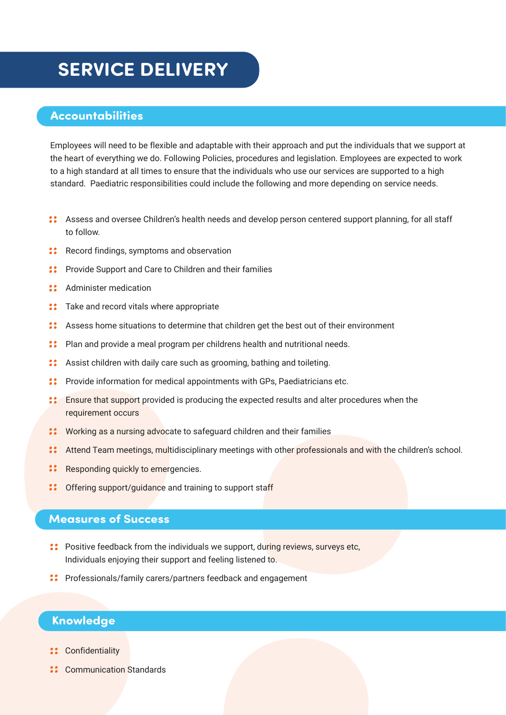### **SERVICE DELIVERY**

#### **Accountabilities**

Employees will need to be flexible and adaptable with their approach and put the individuals that we support at the heart of everything we do. Following Policies, procedures and legislation. Employees are expected to work to a high standard at all times to ensure that the individuals who use our services are supported to a high standard. Paediatric responsibilities could include the following and more depending on service needs.

- Assess and oversee Children's health needs and develop person centered support planning, for all staff to follow.
- **:** Record findings, symptoms and observation
- **:** Provide Support and Care to Children and their families
- :: Administer medication
- **:** Take and record vitals where appropriate
- Assess home situations to determine that children get the best out of their environment
- **:** Plan and provide a meal program per childrens health and nutritional needs.
- Assist children with daily care such as grooming, bathing and toileting.
- **:** Provide information for medical appointments with GPs, Paediatricians etc.
- Ensure that support provided is producing the expected results and alter procedures when the requirement occurs
- **:** Working as a nursing advocate to safeguard children and their families
- **:** Attend Team meetings, multidisciplinary meetings with other professionals and with the children's school.
- $\mathbf{ii}$ Responding quickly to emergencies.
- : Offering support/guidance and training to support staff

#### **Measures of Success**

- Positive feedback from the individuals we support, during reviews, surveys etc, Individuals enjoying their support and feeling listened to.
- Professionals/family carers/partners feedback and engagement

#### **Knowledge**

- :: Confidentiality
- **::** Communication Standards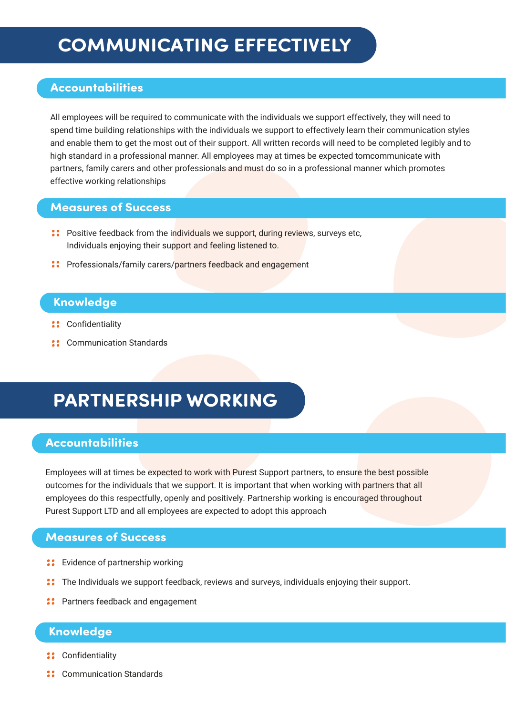# **COMMUNICATING EFFECTIVELY**

### **Accountabilities**

All employees will be required to communicate with the individuals we support effectively, they will need to spend time building relationships with the individuals we support to effectively learn their communication styles and enable them to get the most out of their support. All written records will need to be completed legibly and to high standard in a professional manner. All employees may at times be expected tomcommunicate with partners, family carers and other professionals and must do so in a professional manner which promotes effective working relationships

#### **Measures of Success**

- **:** Positive feedback from the individuals we support, during reviews, surveys etc, Individuals enjoying their support and feeling listened to.
- Professionals/family carers/partners feedback and engagement

#### **Knowledge**

- :: Confidentiality
- **::** Communication Standards

# **PARTNERSHIP WORKING**

#### **Accountabilities**

Employees will at times be expected to work with Purest Support partners, to ensure the best possible outcomes for the individuals that we support. It is important that when working with partners that all employees do this respectfully, openly and positively. Partnership working is encouraged throughout Purest Support LTD and all employees are expected to adopt this approach

#### **Measures of Success**

- :: Evidence of partnership working
- The Individuals we support feedback, reviews and surveys, individuals enjoying their support.
- **:** Partners feedback and engagement

#### **Knowledge**

- :: Confidentiality
- **:** Communication Standards